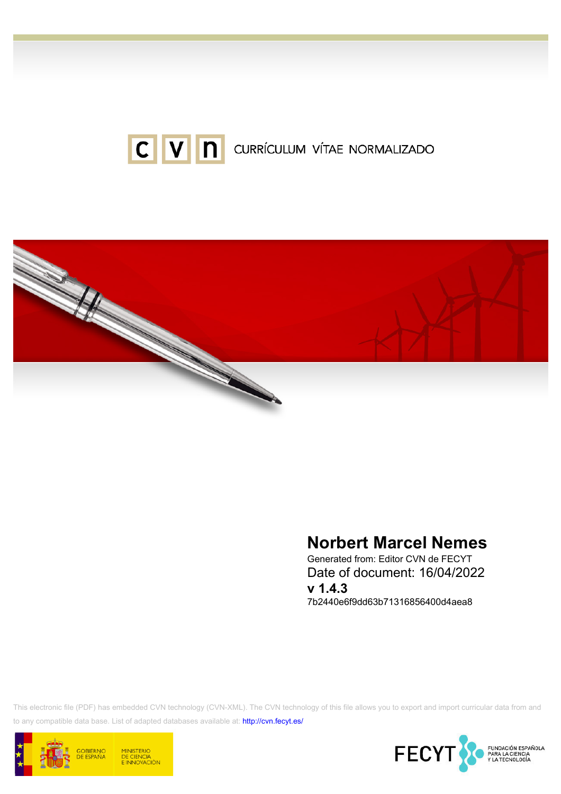



# Norbert Marcel Nemes

Generated from: Editor CVN de FECYT Date of document: 16/04/2022 v 1.4.3 7b2440e6f9dd63b71316856400d4aea8

This electronic file (PDF) has embedded CVN technology (CVN-XML). The CVN technology of this file allows you to export and import curricular data from and to any compatible data base. List of adapted databases available at:<http://cvn.fecyt.es/>



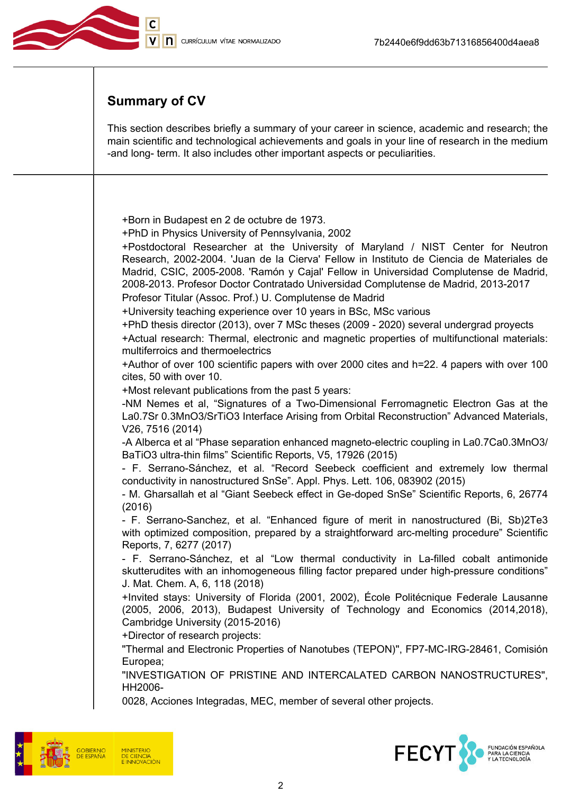

# Summary of CV

This section describes briefly a summary of your career in science, academic and research; the main scientific and technological achievements and goals in your line of research in the medium -and long- term. It also includes other important aspects or peculiarities.

+Born in Budapest en 2 de octubre de 1973.

+PhD in Physics University of Pennsylvania, 2002

+Postdoctoral Researcher at the University of Maryland / NIST Center for Neutron Research, 2002-2004. 'Juan de la Cierva' Fellow in Instituto de Ciencia de Materiales de Madrid, CSIC, 2005-2008. 'Ramón y Cajal' Fellow in Universidad Complutense de Madrid, 2008-2013. Profesor Doctor Contratado Universidad Complutense de Madrid, 2013-2017

Profesor Titular (Assoc. Prof.) U. Complutense de Madrid

+University teaching experience over 10 years in BSc, MSc various

+PhD thesis director (2013), over 7 MSc theses (2009 - 2020) several undergrad proyects +Actual research: Thermal, electronic and magnetic properties of multifunctional materials: multiferroics and thermoelectrics

+Author of over 100 scientific papers with over 2000 cites and h=22. 4 papers with over 100 cites, 50 with over 10.

+Most relevant publications from the past 5 years:

-NM Nemes et al, "Signatures of a Two‐Dimensional Ferromagnetic Electron Gas at the La0.7Sr 0.3MnO3/SrTiO3 Interface Arising from Orbital Reconstruction" Advanced Materials, V26, 7516 (2014)

-A Alberca et al "Phase separation enhanced magneto-electric coupling in La0.7Ca0.3MnO3/ BaTiO3 ultra-thin films" Scientific Reports, V5, 17926 (2015)

- F. Serrano-Sánchez, et al. "Record Seebeck coefficient and extremely low thermal conductivity in nanostructured SnSe". Appl. Phys. Lett. 106, 083902 (2015)

- M. Gharsallah et al "Giant Seebeck effect in Ge-doped SnSe" Scientific Reports, 6, 26774 (2016)

- F. Serrano-Sanchez, et al. "Enhanced figure of merit in nanostructured (Bi, Sb)2Te3 with optimized composition, prepared by a straightforward arc-melting procedure" Scientific Reports, 7, 6277 (2017)

- F. Serrano-Sánchez, et al "Low thermal conductivity in La-filled cobalt antimonide skutterudites with an inhomogeneous filling factor prepared under high-pressure conditions" J. Mat. Chem. A, 6, 118 (2018)

+Invited stays: University of Florida (2001, 2002), École Politécnique Federale Lausanne (2005, 2006, 2013), Budapest University of Technology and Economics (2014,2018), Cambridge University (2015-2016)

+Director of research projects:

"Thermal and Electronic Properties of Nanotubes (TEPON)", FP7-MC-IRG-28461, Comisión Europea;

"INVESTIGATION OF PRISTINE AND INTERCALATED CARBON NANOSTRUCTURES", HH2006-

0028, Acciones Integradas, MEC, member of several other projects.





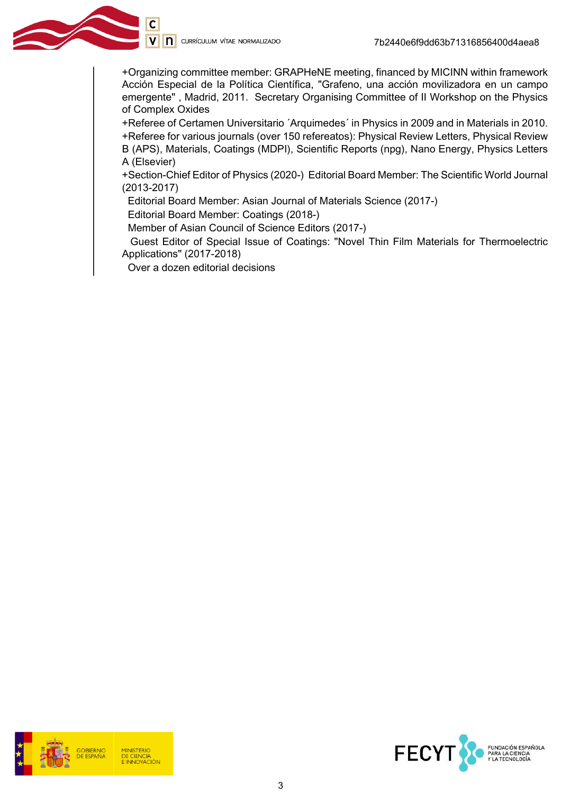C

+Organizing committee member: GRAPHeNE meeting, financed by MICINN within framework Acción Especial de la Política Científica, "Grafeno, una acción movilizadora en un campo emergente" , Madrid, 2011. Secretary Organising Committee of II Workshop on the Physics of Complex Oxides

+Referee of Certamen Universitario ´Arquimedes´ in Physics in 2009 and in Materials in 2010. +Referee for various journals (over 150 refereatos): Physical Review Letters, Physical Review B (APS), Materials, Coatings (MDPI), Scientific Reports (npg), Nano Energy, Physics Letters A (Elsevier)

+Section-Chief Editor of Physics (2020-) Editorial Board Member: The Scientific World Journal (2013-2017)

Editorial Board Member: Asian Journal of Materials Science (2017-)

Editorial Board Member: Coatings (2018-)

Member of Asian Council of Science Editors (2017-)

 Guest Editor of Special Issue of Coatings: "Novel Thin Film Materials for Thermoelectric Applications" (2017-2018)

Over a dozen editorial decisions



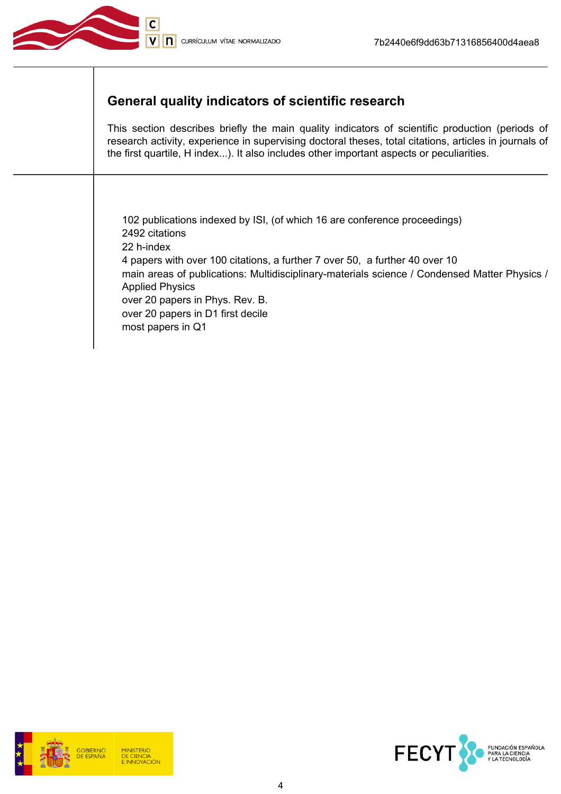

## General quality indicators of scientific research

This section describes briefly the main quality indicators of scientific production (periods of research activity, experience in supervising doctoral theses, total citations, articles in journals of the first quartile, H index...). It also includes other important aspects or peculiarities.

102 publications indexed by ISI, (of which 16 are conference proceedings) 2492 citations 22 h-index 4 papers with over 100 citations, a further 7 over 50, a further 40 over 10 main areas of publications: Multidisciplinary-materials science / Condensed Matter Physics / Applied Physics over 20 papers in Phys. Rev. B. over 20 papers in D1 first decile most papers in Q1



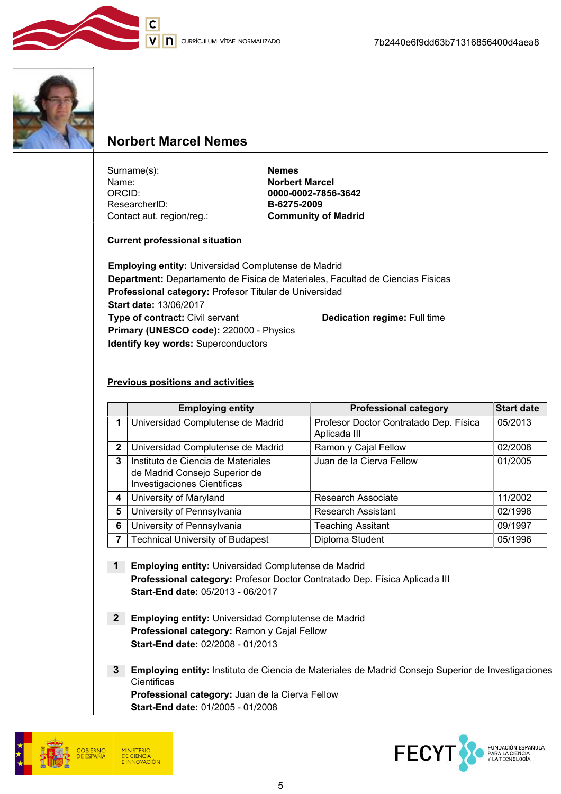

V n currículum vítae normalizado



## Norbert Marcel Nemes

Surname(s): Nemes Name: Norbert Marcel ORCID: 0000-0002-7856-3642 ResearcherID: B-6275-2009 Contact aut. region/reg.: Community of Madrid

#### Current professional situation

Employing entity: Universidad Complutense de Madrid Department: Departamento de Fisica de Materiales, Facultad de Ciencias Fisicas Professional category: Profesor Titular de Universidad Start date: 13/06/2017 Type of contract: Civil servant Dedication regime: Full time Primary (UNESCO code): 220000 - Physics Identify key words: Superconductors

#### Previous positions and activities

|              | <b>Employing entity</b>                                                                                   | <b>Professional category</b>                           | <b>Start date</b> |
|--------------|-----------------------------------------------------------------------------------------------------------|--------------------------------------------------------|-------------------|
|              | Universidad Complutense de Madrid                                                                         | Profesor Doctor Contratado Dep. Física<br>Aplicada III | 05/2013           |
| $\mathbf{2}$ | Universidad Complutense de Madrid                                                                         | Ramon y Cajal Fellow                                   | 02/2008           |
| 3            | Instituto de Ciencia de Materiales<br>de Madrid Consejo Superior de<br><b>Investigaciones Cientificas</b> | Juan de la Cierva Fellow                               | 01/2005           |
| 4            | University of Maryland                                                                                    | Research Associate                                     | 11/2002           |
| 5            | University of Pennsylvania                                                                                | <b>Research Assistant</b>                              | 02/1998           |
| 6            | University of Pennsylvania                                                                                | <b>Teaching Assitant</b>                               | 09/1997           |
|              | <b>Technical University of Budapest</b>                                                                   | Diploma Student                                        | 05/1996           |

- 1 Employing entity: Universidad Complutense de Madrid Professional category: Profesor Doctor Contratado Dep. Física Aplicada III Start-End date: 05/2013 - 06/2017
- 2 Employing entity: Universidad Complutense de Madrid Professional category: Ramon y Cajal Fellow Start-End date: 02/2008 - 01/2013
- 3 Employing entity: Instituto de Ciencia de Materiales de Madrid Consejo Superior de Investigaciones **Cientificas** Professional category: Juan de la Cierva Fellow Start-End date: 01/2005 - 01/2008



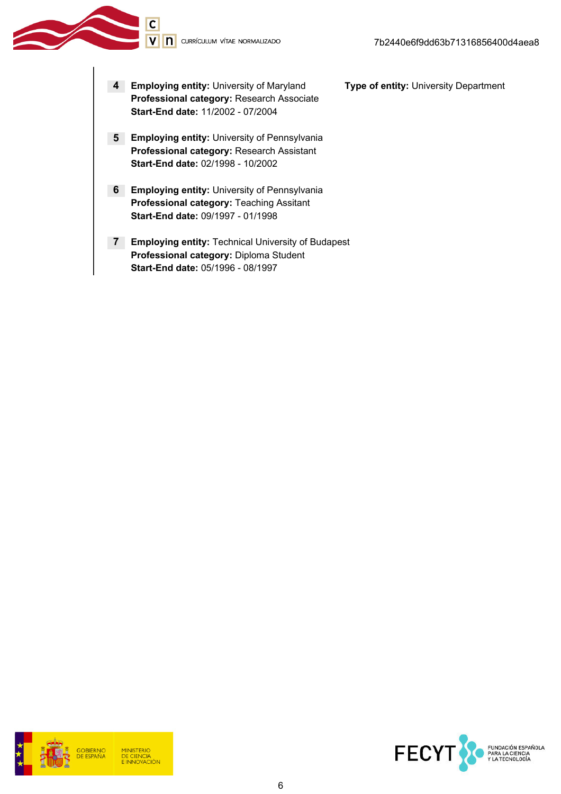4 Employing entity: University of Maryland Type of entity: University Department Professional category: Research Associate Start-End date: 11/2002 - 07/2004

 $\overline{\mathsf{c}}$ 

- **5 Employing entity:** University of Pennsylvania Professional category: Research Assistant Start-End date: 02/1998 - 10/2002
- **6** Employing entity: University of Pennsylvania Professional category: Teaching Assitant Start-End date: 09/1997 - 01/1998
- 7 Employing entity: Technical University of Budapest Professional category: Diploma Student Start-End date: 05/1996 - 08/1997



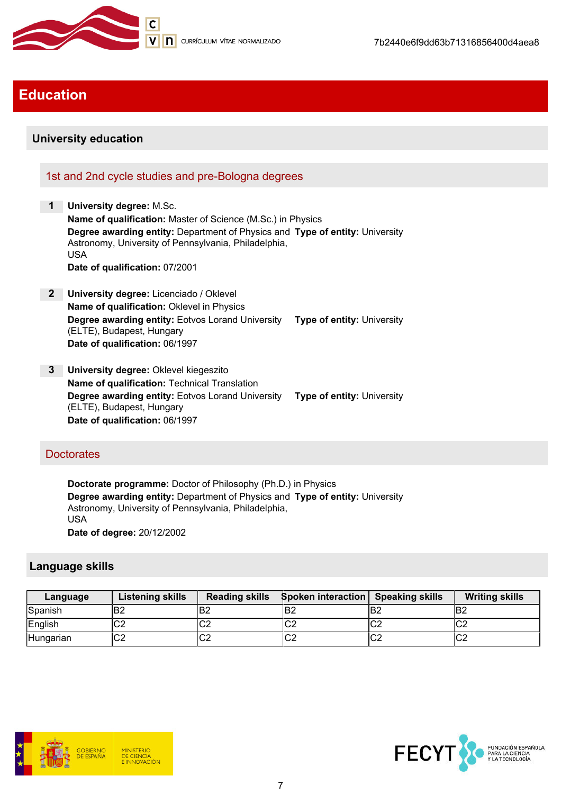

# Education

### University education

### 1st and 2nd cycle studies and pre-Bologna degrees

- 1 University degree: M.Sc. Name of qualification: Master of Science (M.Sc.) in Physics Degree awarding entity: Department of Physics and Type of entity: University Astronomy, University of Pennsylvania, Philadelphia, USA Date of qualification: 07/2001
- 2 University degree: Licenciado / Oklevel Name of qualification: Oklevel in Physics Degree awarding entity: Eotvos Lorand University Type of entity: University (ELTE), Budapest, Hungary Date of qualification: 06/1997
- 3 University degree: Oklevel kiegeszito Name of qualification: Technical Translation Degree awarding entity: Eotvos Lorand University Type of entity: University (ELTE), Budapest, Hungary Date of qualification: 06/1997

#### **Doctorates**

Doctorate programme: Doctor of Philosophy (Ph.D.) in Physics Degree awarding entity: Department of Physics and Type of entity: University Astronomy, University of Pennsylvania, Philadelphia, USA Date of degree: 20/12/2002

### Language skills

| Language  | <b>Listening skills</b> | <b>Reading skills</b> | Spoken interaction Speaking skills |     | <b>Writing skills</b> |
|-----------|-------------------------|-----------------------|------------------------------------|-----|-----------------------|
| Spanish   | B <sub>2</sub>          | 'B2                   | lB2                                | lB2 | IB2                   |
| English   | ⌒⌒<br>◡∠                | $\sim$<br>◡▵          | lC2                                | C2  | ∣∩∩<br>ືບ∠            |
| Hungarian | ⌒⌒<br>υZ                | $\sim$<br>◡∠          | lC2                                | lC2 | ∣∩∩<br>ືບ∠            |



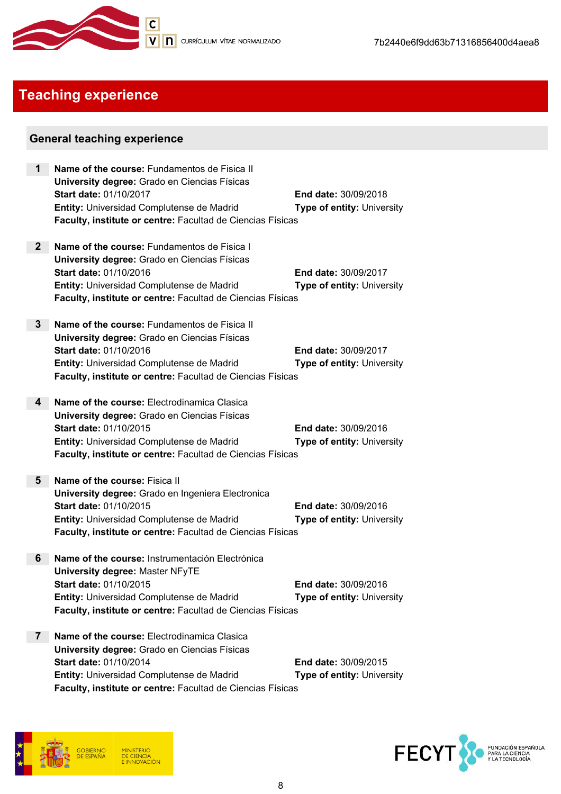

# Teaching experience

### General teaching experience

| 1               | Name of the course: Fundamentos de Fisica II<br>University degree: Grado en Ciencias Físicas<br><b>Start date: 01/10/2017</b><br>Entity: Universidad Complutense de Madrid<br>Faculty, institute or centre: Facultad de Ciencias Físicas | <b>End date: 30/09/2018</b><br><b>Type of entity: University</b> |
|-----------------|------------------------------------------------------------------------------------------------------------------------------------------------------------------------------------------------------------------------------------------|------------------------------------------------------------------|
| 2 <sup>2</sup>  | Name of the course: Fundamentos de Fisica I<br>University degree: Grado en Ciencias Físicas<br><b>Start date: 01/10/2016</b><br>Entity: Universidad Complutense de Madrid<br>Faculty, institute or centre: Facultad de Ciencias Físicas  | End date: 30/09/2017<br><b>Type of entity: University</b>        |
| $3\phantom{.0}$ | Name of the course: Fundamentos de Fisica II<br>University degree: Grado en Ciencias Físicas<br>Start date: 01/10/2016<br>Entity: Universidad Complutense de Madrid<br>Faculty, institute or centre: Facultad de Ciencias Físicas        | <b>End date: 30/09/2017</b><br>Type of entity: University        |
| 4               | Name of the course: Electrodinamica Clasica<br>University degree: Grado en Ciencias Físicas<br>Start date: 01/10/2015<br>Entity: Universidad Complutense de Madrid<br>Faculty, institute or centre: Facultad de Ciencias Físicas         | End date: 30/09/2016<br><b>Type of entity: University</b>        |
| 5               | Name of the course: Fisica II<br>University degree: Grado en Ingeniera Electronica<br><b>Start date: 01/10/2015</b><br>Entity: Universidad Complutense de Madrid<br>Faculty, institute or centre: Facultad de Ciencias Físicas           | <b>End date: 30/09/2016</b><br><b>Type of entity: University</b> |
| 6               | Name of the course: Instrumentación Electrónica<br>University degree: Master NFyTE<br>Start date: 01/10/2015<br>Entity: Universidad Complutense de Madrid<br>Faculty, institute or centre: Facultad de Ciencias Físicas                  | End date: 30/09/2016<br>Type of entity: University               |
| $\mathbf{7}$    | Name of the course: Electrodinamica Clasica<br>University degree: Grado en Ciencias Físicas<br>Start date: 01/10/2014<br>Entity: Universidad Complutense de Madrid<br>Faculty, institute or centre: Facultad de Ciencias Físicas         | <b>End date: 30/09/2015</b><br><b>Type of entity: University</b> |



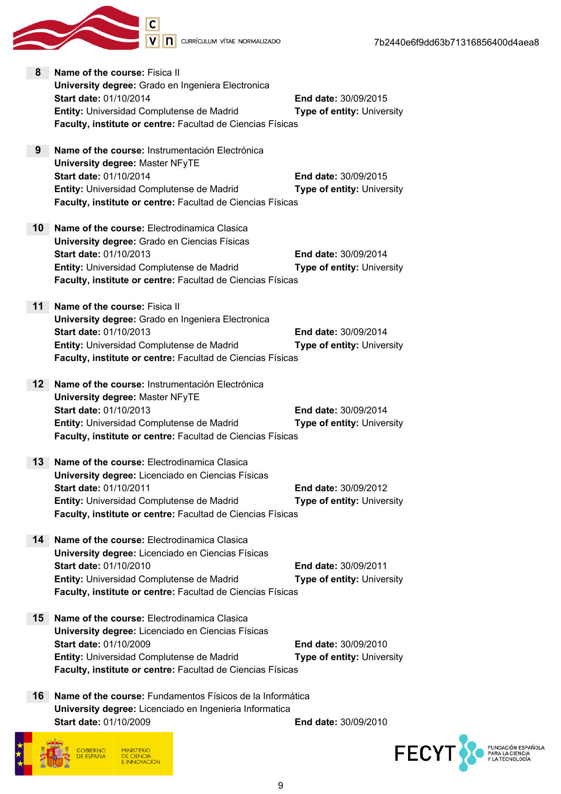

Start date: 01/10/2009 End date: 30/09/2010

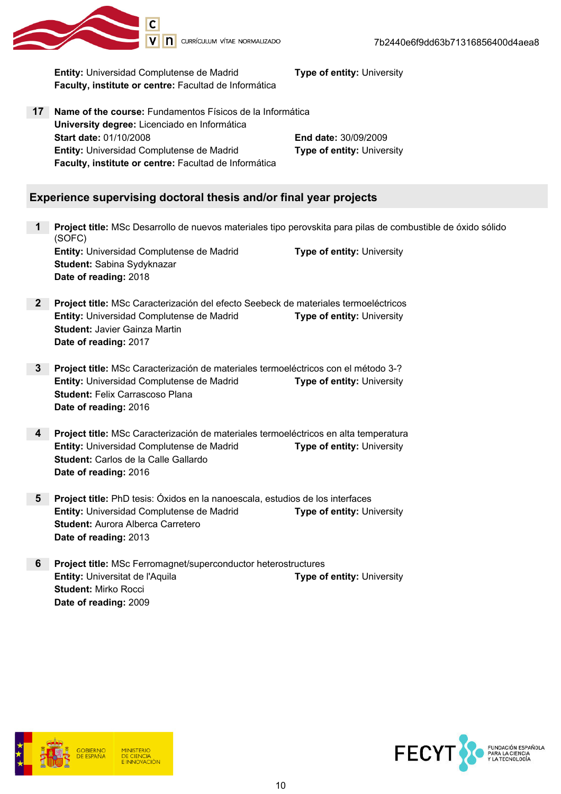

7b2440e6f9dd63b71316856400d4aea8

Entity: Universidad Complutense de Madrid Type of entity: University Faculty, institute or centre: Facultad de Informática

17 Name of the course: Fundamentos Físicos de la Informática University degree: Licenciado en Informática Start date: 01/10/2008 End date: 30/09/2009 **Entity:** Universidad Complutense de Madrid Type of entity: University Faculty, institute or centre: Facultad de Informática

### Experience supervising doctoral thesis and/or final year projects

- 1 Project title: MSc Desarrollo de nuevos materiales tipo perovskita para pilas de combustible de óxido sólido (SOFC) **Entity:** Universidad Complutense de Madrid Type of entity: University Student: Sabina Sydyknazar Date of reading: 2018
- 2 Project title: MSc Caracterización del efecto Seebeck de materiales termoeléctricos **Entity:** Universidad Complutense de Madrid Type of entity: University Student: Javier Gainza Martin Date of reading: 2017
- 3 Project title: MSc Caracterización de materiales termoeléctricos con el método 3-? **Entity:** Universidad Complutense de Madrid Type of entity: University Student: Felix Carrascoso Plana Date of reading: 2016
- 4 Project title: MSc Caracterización de materiales termoeléctricos en alta temperatura **Entity:** Universidad Complutense de Madrid Type of entity: University Student: Carlos de la Calle Gallardo Date of reading: 2016
- 5 Project title: PhD tesis: Óxidos en la nanoescala, estudios de los interfaces **Entity:** Universidad Complutense de Madrid Type of entity: University Student: Aurora Alberca Carretero Date of reading: 2013
- 6 Project title: MSc Ferromagnet/superconductor heterostructures **Entity:** Universitat de l'Aquila **The Contract Contract Contract Contract Contract Contract Contract Contract Contract Contract Contract Contract Contract Contract Contract Contract Contract Contract Contract Contract Con** Student: Mirko Rocci Date of reading: 2009



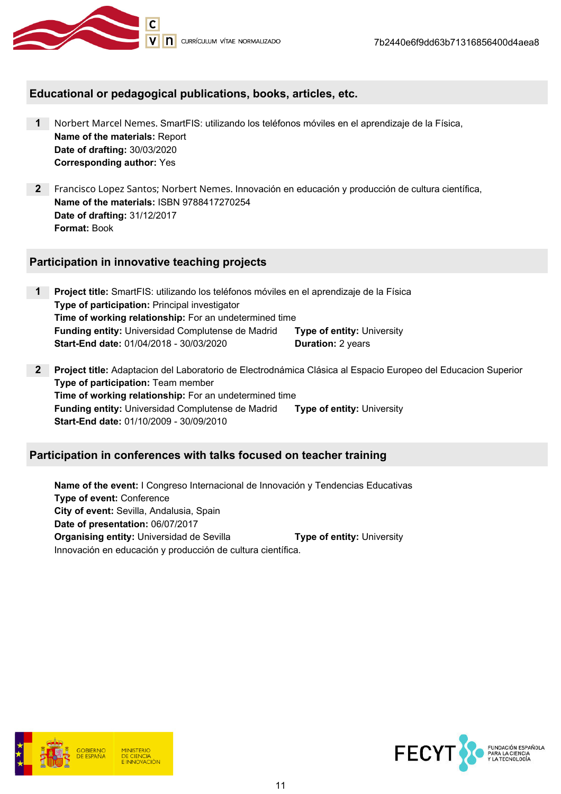

### Educational or pedagogical publications, books, articles, etc.

- 1 Norbert Marcel Nemes. SmartFIS: utilizando los teléfonos móviles en el aprendizaje de la Física, Name of the materials: Report Date of drafting: 30/03/2020 Corresponding author: Yes
- 2 Francisco Lopez Santos; Norbert Nemes. Innovación en educación y producción de cultura científica, Name of the materials: ISBN 9788417270254 Date of drafting: 31/12/2017 Format: Book

### Participation in innovative teaching projects

- 1 Project title: SmartFIS: utilizando los teléfonos móviles en el aprendizaje de la Física Type of participation: Principal investigator Time of working relationship: For an undetermined time **Funding entity:** Universidad Complutense de Madrid **Type of entity:** University **Start-End date:** 01/04/2018 - 30/03/2020 **Duration:** 2 years
- 2 Project title: Adaptacion del Laboratorio de Electrodnámica Clásica al Espacio Europeo del Educacion Superior Type of participation: Team member Time of working relationship: For an undetermined time Funding entity: Universidad Complutense de Madrid Type of entity: University Start-End date: 01/10/2009 - 30/09/2010

### Participation in conferences with talks focused on teacher training

Name of the event: I Congreso Internacional de Innovación y Tendencias Educativas Type of event: Conference City of event: Sevilla, Andalusia, Spain Date of presentation: 06/07/2017 **Organising entity:** Universidad de Sevilla **Type of entity:** University Innovación en educación y producción de cultura científica.



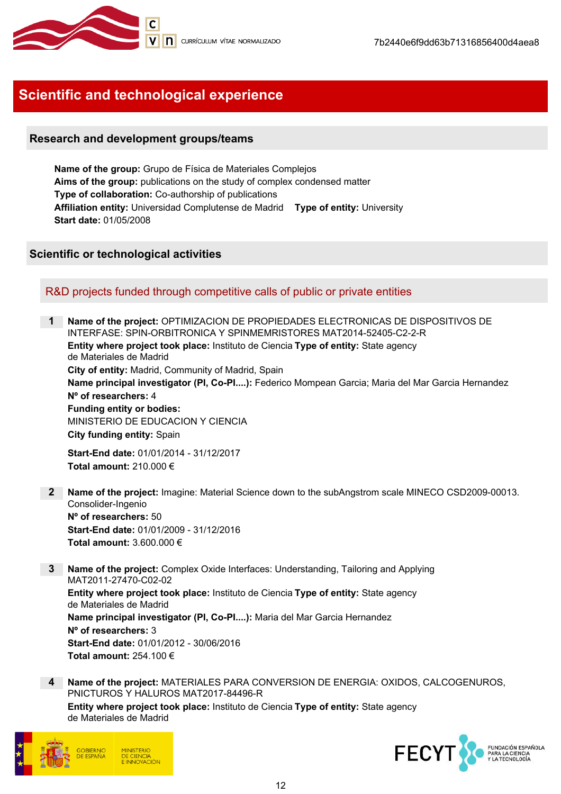

# Scientific and technological experience

### Research and development groups/teams

Name of the group: Grupo de Física de Materiales Complejos Aims of the group: publications on the study of complex condensed matter Type of collaboration: Co-authorship of publications Affiliation entity: Universidad Complutense de Madrid Type of entity: University Start date: 01/05/2008

### Scientific or technological activities

### R&D projects funded through competitive calls of public or private entities

Name of the project: OPTIMIZACION DE PROPIEDADES ELECTRONICAS DE DISPOSITIVOS DE INTERFASE: SPIN-ORBITRONICA Y SPINMEMRISTORES MAT2014-52405-C2-2-R Entity where project took place: Instituto de Ciencia Type of entity: State agency de Materiales de Madrid City of entity: Madrid, Community of Madrid, Spain Name principal investigator (PI, Co-PI....): Federico Mompean Garcia; Maria del Mar Garcia Hernandez Nº of researchers: 4 Funding entity or bodies: MINISTERIO DE EDUCACION Y CIENCIA City funding entity: Spain

Start-End date: 01/01/2014 - 31/12/2017 Total amount: 210.000 €

- 2 Name of the project: Imagine: Material Science down to the subAngstrom scale MINECO CSD2009-00013. Consolider-Ingenio Nº of researchers: 50 Start-End date: 01/01/2009 - 31/12/2016 Total amount: 3.600.000 €
- 3 Name of the project: Complex Oxide Interfaces: Understanding, Tailoring and Applying MAT2011-27470-C02-02

Entity where project took place: Instituto de Ciencia Type of entity: State agency de Materiales de Madrid Name principal investigator (PI, Co-PI....): Maria del Mar Garcia Hernandez Nº of researchers: 3 Start-End date: 01/01/2012 - 30/06/2016 Total amount: 254.100 €

4 Name of the project: MATERIALES PARA CONVERSION DE ENERGIA: OXIDOS, CALCOGENUROS, PNICTUROS Y HALUROS MAT2017-84496-R

Entity where project took place: Instituto de Ciencia Type of entity: State agencyde Materiales de Madrid



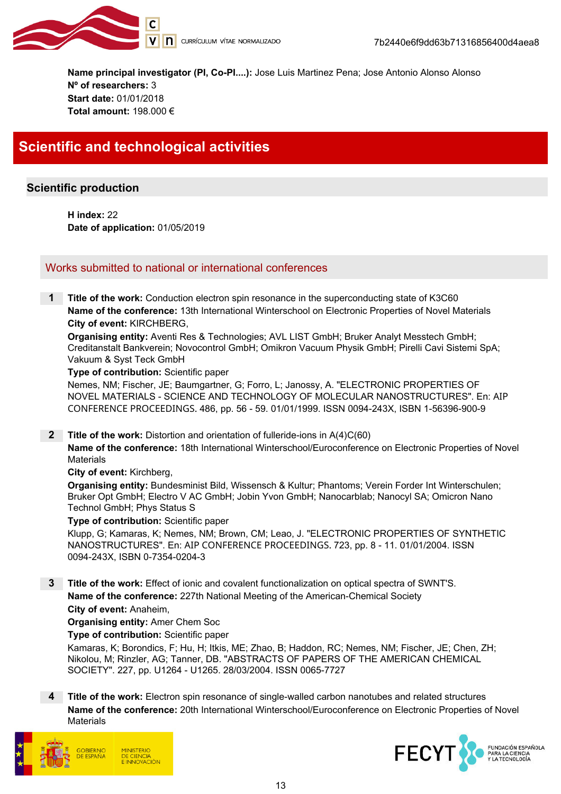

Name principal investigator (PI, Co-PI....): Jose Luis Martinez Pena; Jose Antonio Alonso Alonso Nº of researchers: 3 Start date: 01/01/2018 Total amount: 198.000 €

# Scientific and technological activities

### Scientific production

H index: 22 Date of application: 01/05/2019

### Works submitted to national or international conferences

**1** Title of the work: Conduction electron spin resonance in the superconducting state of K3C60 Name of the conference: 13th International Winterschool on Electronic Properties of Novel Materials City of event: KIRCHBERG,

Organising entity: Aventi Res & Technologies; AVL LIST GmbH; Bruker Analyt Messtech GmbH; Creditanstalt Bankverein; Novocontrol GmbH; Omikron Vacuum Physik GmbH; Pirelli Cavi Sistemi SpA; Vakuum & Syst Teck GmbH

#### Type of contribution: Scientific paper

Nemes, NM; Fischer, JE; Baumgartner, G; Forro, L; Janossy, A. "ELECTRONIC PROPERTIES OF NOVEL MATERIALS - SCIENCE AND TECHNOLOGY OF MOLECULAR NANOSTRUCTURES". En: AIP CONFERENCE PROCEEDINGS. 486, pp. 56 - 59. 01/01/1999. ISSN 0094-243X, ISBN 1-56396-900-9

2 Title of the work: Distortion and orientation of fulleride-ions in A(4)C(60)

Name of the conference: 18th International Winterschool/Euroconference on Electronic Properties of Novel **Materials** 

#### City of event: Kirchberg,

Organising entity: Bundesminist Bild, Wissensch & Kultur; Phantoms; Verein Forder Int Winterschulen; Bruker Opt GmbH; Electro V AC GmbH; Jobin Yvon GmbH; Nanocarblab; Nanocyl SA; Omicron Nano Technol GmbH; Phys Status S

#### Type of contribution: Scientific paper

Klupp, G; Kamaras, K; Nemes, NM; Brown, CM; Leao, J. "ELECTRONIC PROPERTIES OF SYNTHETIC NANOSTRUCTURES". En: AIP CONFERENCE PROCEEDINGS. 723, pp. 8 - 11. 01/01/2004. ISSN 0094-243X, ISBN 0-7354-0204-3

3 Title of the work: Effect of ionic and covalent functionalization on optical spectra of SWNT'S. Name of the conference: 227th National Meeting of the American-Chemical Society City of event: Anaheim,

#### Organising entity: Amer Chem Soc

Type of contribution: Scientific paper

Kamaras, K; Borondics, F; Hu, H; Itkis, ME; Zhao, B; Haddon, RC; Nemes, NM; Fischer, JE; Chen, ZH; Nikolou, M; Rinzler, AG; Tanner, DB. "ABSTRACTS OF PAPERS OF THE AMERICAN CHEMICAL SOCIETY". 227, pp. U1264 - U1265. 28/03/2004. ISSN 0065-7727

Title of the work: Electron spin resonance of single-walled carbon nanotubes and related structures Name of the conference: 20th International Winterschool/Euroconference on Electronic Properties of Novel **Materials** 



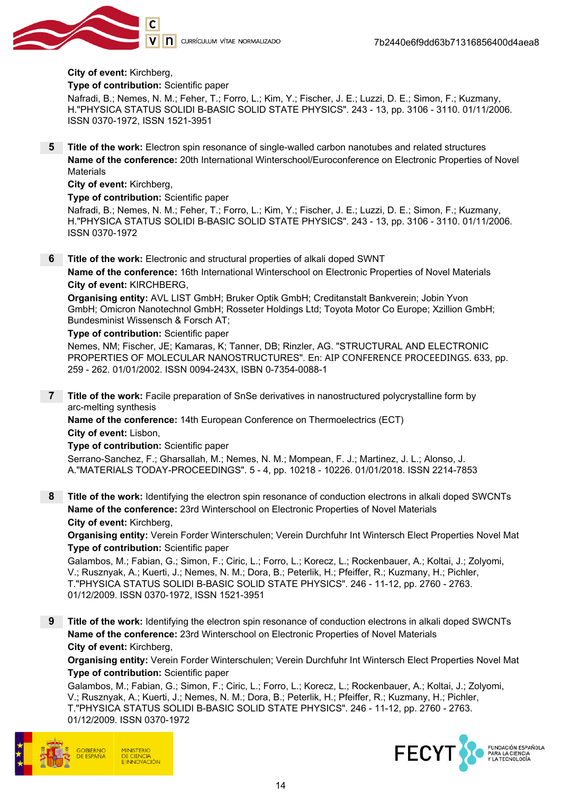

#### City of event: Kirchberg,

Type of contribution: Scientific paper

Nafradi, B.; Nemes, N. M.; Feher, T.; Forro, L.; Kim, Y.; Fischer, J. E.; Luzzi, D. E.; Simon, F.; Kuzmany, H."PHYSICA STATUS SOLIDI B-BASIC SOLID STATE PHYSICS". 243 - 13, pp. 3106 - 3110. 01/11/2006. ISSN 0370-1972, ISSN 1521-3951

5 Title of the work: Electron spin resonance of single-walled carbon nanotubes and related structures Name of the conference: 20th International Winterschool/Euroconference on Electronic Properties of Novel **Materials** 

City of event: Kirchberg,

Type of contribution: Scientific paper

Nafradi, B.; Nemes, N. M.; Feher, T.; Forro, L.; Kim, Y.; Fischer, J. E.; Luzzi, D. E.; Simon, F.; Kuzmany, H."PHYSICA STATUS SOLIDI B-BASIC SOLID STATE PHYSICS". 243 - 13, pp. 3106 - 3110. 01/11/2006. ISSN 0370-1972

6 Title of the work: Electronic and structural properties of alkali doped SWNT

Name of the conference: 16th International Winterschool on Electronic Properties of Novel Materials City of event: KIRCHBERG,

Organising entity: AVL LIST GmbH; Bruker Optik GmbH; Creditanstalt Bankverein; Jobin Yvon GmbH; Omicron Nanotechnol GmbH; Rosseter Holdings Ltd; Toyota Motor Co Europe; Xzillion GmbH; Bundesminist Wissensch & Forsch AT;

Type of contribution: Scientific paper

Nemes, NM; Fischer, JE; Kamaras, K; Tanner, DB; Rinzler, AG. "STRUCTURAL AND ELECTRONIC PROPERTIES OF MOLECULAR NANOSTRUCTURES". En: AIP CONFERENCE PROCEEDINGS. 633, pp. 259 - 262. 01/01/2002. ISSN 0094-243X, ISBN 0-7354-0088-1

7 Title of the work: Facile preparation of SnSe derivatives in nanostructured polycrystalline form by arc-melting synthesis

Name of the conference: 14th European Conference on Thermoelectrics (ECT) City of event: Lisbon,

Type of contribution: Scientific paper

Serrano-Sanchez, F.; Gharsallah, M.; Nemes, N. M.; Mompean, F. J.; Martinez, J. L.; Alonso, J. A."MATERIALS TODAY-PROCEEDINGS". 5 - 4, pp. 10218 - 10226. 01/01/2018. ISSN 2214-7853

8 Title of the work: Identifying the electron spin resonance of conduction electrons in alkali doped SWCNTs Name of the conference: 23rd Winterschool on Electronic Properties of Novel Materials City of event: Kirchberg,

Organising entity: Verein Forder Winterschulen; Verein Durchfuhr Int Wintersch Elect Properties Novel Mat Type of contribution: Scientific paper

Galambos, M.; Fabian, G.; Simon, F.; Ciric, L.; Forro, L.; Korecz, L.; Rockenbauer, A.; Koltai, J.; Zolyomi, V.; Rusznyak, A.; Kuerti, J.; Nemes, N. M.; Dora, B.; Peterlik, H.; Pfeiffer, R.; Kuzmany, H.; Pichler, T."PHYSICA STATUS SOLIDI B-BASIC SOLID STATE PHYSICS". 246 - 11-12, pp. 2760 - 2763. 01/12/2009. ISSN 0370-1972, ISSN 1521-3951

9 Title of the work: Identifying the electron spin resonance of conduction electrons in alkali doped SWCNTs Name of the conference: 23rd Winterschool on Electronic Properties of Novel Materials City of event: Kirchberg,

Organising entity: Verein Forder Winterschulen; Verein Durchfuhr Int Wintersch Elect Properties Novel Mat Type of contribution: Scientific paper

Galambos, M.; Fabian, G.; Simon, F.; Ciric, L.; Forro, L.; Korecz, L.; Rockenbauer, A.; Koltai, J.; Zolyomi, V.; Rusznyak, A.; Kuerti, J.; Nemes, N. M.; Dora, B.; Peterlik, H.; Pfeiffer, R.; Kuzmany, H.; Pichler, T."PHYSICA STATUS SOLIDI B-BASIC SOLID STATE PHYSICS". 246 - 11-12, pp. 2760 - 2763. 01/12/2009. ISSN 0370-1972



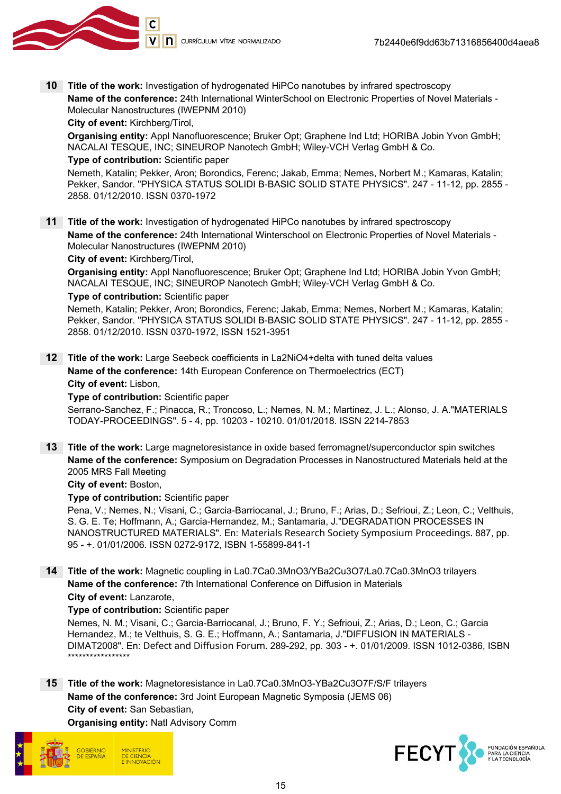

10 Title of the work: Investigation of hydrogenated HiPCo nanotubes by infrared spectroscopy Name of the conference: 24th International WinterSchool on Electronic Properties of Novel Materials - Molecular Nanostructures (IWEPNM 2010)

City of event: Kirchberg/Tirol,

Organising entity: Appl Nanofluorescence; Bruker Opt; Graphene Ind Ltd; HORIBA Jobin Yvon GmbH; NACALAI TESQUE, INC; SINEUROP Nanotech GmbH; Wiley-VCH Verlag GmbH & Co.

#### Type of contribution: Scientific paper

Nemeth, Katalin; Pekker, Aron; Borondics, Ferenc; Jakab, Emma; Nemes, Norbert M.; Kamaras, Katalin; Pekker, Sandor. "PHYSICA STATUS SOLIDI B-BASIC SOLID STATE PHYSICS". 247 - 11-12, pp. 2855 - 2858. 01/12/2010. ISSN 0370-1972

11 Title of the work: Investigation of hydrogenated HiPCo nanotubes by infrared spectroscopy Name of the conference: 24th International Winterschool on Electronic Properties of Novel Materials - Molecular Nanostructures (IWEPNM 2010)

City of event: Kirchberg/Tirol,

Organising entity: Appl Nanofluorescence; Bruker Opt; Graphene Ind Ltd; HORIBA Jobin Yvon GmbH; NACALAI TESQUE, INC; SINEUROP Nanotech GmbH; Wiley-VCH Verlag GmbH & Co.

#### Type of contribution: Scientific paper

Nemeth, Katalin; Pekker, Aron; Borondics, Ferenc; Jakab, Emma; Nemes, Norbert M.; Kamaras, Katalin; Pekker, Sandor. "PHYSICA STATUS SOLIDI B-BASIC SOLID STATE PHYSICS". 247 - 11-12, pp. 2855 - 2858. 01/12/2010. ISSN 0370-1972, ISSN 1521-3951

12 Title of the work: Large Seebeck coefficients in La2NiO4+delta with tuned delta values Name of the conference: 14th European Conference on Thermoelectrics (ECT) City of event: Lisbon,

#### Type of contribution: Scientific paper

Serrano-Sanchez, F.; Pinacca, R.; Troncoso, L.; Nemes, N. M.; Martinez, J. L.; Alonso, J. A."MATERIALS TODAY-PROCEEDINGS". 5 - 4, pp. 10203 - 10210. 01/01/2018. ISSN 2214-7853

13 Title of the work: Large magnetoresistance in oxide based ferromagnet/superconductor spin switches Name of the conference: Symposium on Degradation Processes in Nanostructured Materials held at the 2005 MRS Fall Meeting

City of event: Boston,

Type of contribution: Scientific paper

Pena, V.; Nemes, N.; Visani, C.; Garcia-Barriocanal, J.; Bruno, F.; Arias, D.; Sefrioui, Z.; Leon, C.; Velthuis, S. G. E. Te; Hoffmann, A.; Garcia-Hernandez, M.; Santamaria, J."DEGRADATION PROCESSES IN NANOSTRUCTURED MATERIALS". En: Materials Research Society Symposium Proceedings. 887, pp. 95 - +. 01/01/2006. ISSN 0272-9172, ISBN 1-55899-841-1

14 Title of the work: Magnetic coupling in La0.7Ca0.3MnO3/YBa2Cu3O7/La0.7Ca0.3MnO3 trilayers Name of the conference: 7th International Conference on Diffusion in Materials City of event: Lanzarote,

#### Type of contribution: Scientific paper

Nemes, N. M.; Visani, C.; Garcia-Barriocanal, J.; Bruno, F. Y.; Sefrioui, Z.; Arias, D.; Leon, C.; Garcia Hernandez, M.; te Velthuis, S. G. E.; Hoffmann, A.; Santamaria, J."DIFFUSION IN MATERIALS - DIMAT2008". En: Defect and Diffusion Forum. 289-292, pp. 303 - +. 01/01/2009. ISSN 1012-0386, ISBN \*\*\*\*\*\*\*\*\*\*\*\*\*\*\*\*\*

### 15 Title of the work: Magnetoresistance in La0.7Ca0.3MnO3-YBa2Cu3O7F/S/F trilayers Name of the conference: 3rd Joint European Magnetic Symposia (JEMS 06) City of event: San Sebastian,

Organising entity: Natl Advisory Comm



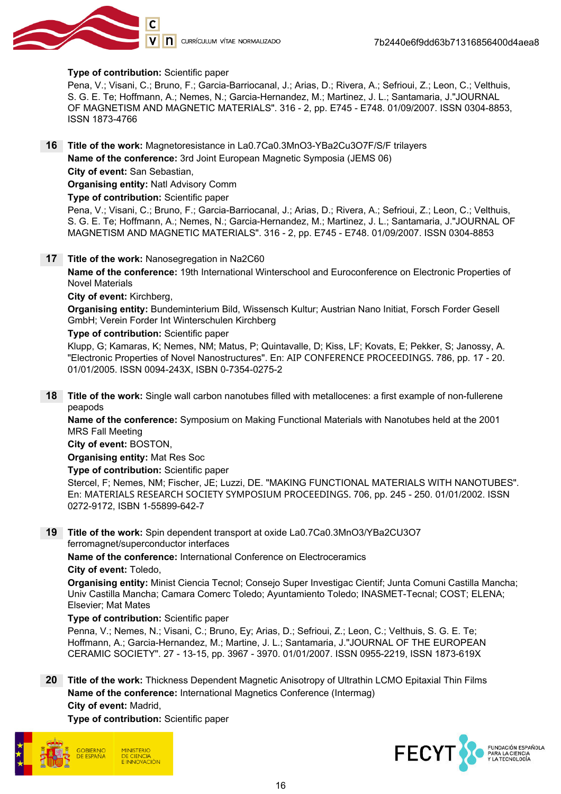

#### Type of contribution: Scientific paper

Pena, V.; Visani, C.; Bruno, F.; Garcia-Barriocanal, J.; Arias, D.; Rivera, A.; Sefrioui, Z.; Leon, C.; Velthuis, S. G. E. Te; Hoffmann, A.; Nemes, N.; Garcia-Hernandez, M.; Martinez, J. L.; Santamaria, J."JOURNAL OF MAGNETISM AND MAGNETIC MATERIALS". 316 - 2, pp. E745 - E748. 01/09/2007. ISSN 0304-8853, ISSN 1873-4766

16 Title of the work: Magnetoresistance in La0.7Ca0.3MnO3-YBa2Cu3O7F/S/F trilayers Name of the conference: 3rd Joint European Magnetic Symposia (JEMS 06)

City of event: San Sebastian,

Organising entity: Natl Advisory Comm

Type of contribution: Scientific paper

Pena, V.; Visani, C.; Bruno, F.; Garcia-Barriocanal, J.; Arias, D.; Rivera, A.; Sefrioui, Z.; Leon, C.; Velthuis, S. G. E. Te; Hoffmann, A.; Nemes, N.; Garcia-Hernandez, M.; Martinez, J. L.; Santamaria, J."JOURNAL OF MAGNETISM AND MAGNETIC MATERIALS". 316 - 2, pp. E745 - E748. 01/09/2007. ISSN 0304-8853

#### 17 Title of the work: Nanosegregation in Na2C60

Name of the conference: 19th International Winterschool and Euroconference on Electronic Properties of Novel Materials

#### City of event: Kirchberg,

Organising entity: Bundeminterium Bild, Wissensch Kultur; Austrian Nano Initiat, Forsch Forder Gesell GmbH; Verein Forder Int Winterschulen Kirchberg

#### Type of contribution: Scientific paper

Klupp, G; Kamaras, K; Nemes, NM; Matus, P; Quintavalle, D; Kiss, LF; Kovats, E; Pekker, S; Janossy, A. "Electronic Properties of Novel Nanostructures". En: AIP CONFERENCE PROCEEDINGS. 786, pp. 17 - 20. 01/01/2005. ISSN 0094-243X, ISBN 0-7354-0275-2

18 Title of the work: Single wall carbon nanotubes filled with metallocenes: a first example of non-fullerene peapods

Name of the conference: Symposium on Making Functional Materials with Nanotubes held at the 2001 MRS Fall Meeting

City of event: BOSTON,

Organising entity: Mat Res Soc

Type of contribution: Scientific paper

Stercel, F; Nemes, NM; Fischer, JE; Luzzi, DE. "MAKING FUNCTIONAL MATERIALS WITH NANOTUBES". En: MATERIALS RESEARCH SOCIETY SYMPOSIUM PROCEEDINGS. 706, pp. 245 - 250. 01/01/2002. ISSN 0272-9172, ISBN 1-55899-642-7

19 Title of the work: Spin dependent transport at oxide La0.7Ca0.3MnO3/YBa2CU3O7 ferromagnet/superconductor interfaces

Name of the conference: International Conference on Electroceramics

City of event: Toledo,

Organising entity: Minist Ciencia Tecnol; Consejo Super Investigac Cientif; Junta Comuni Castilla Mancha; Univ Castilla Mancha; Camara Comerc Toledo; Ayuntamiento Toledo; INASMET-Tecnal; COST; ELENA; Elsevier; Mat Mates

#### Type of contribution: Scientific paper

Penna, V.; Nemes, N.; Visani, C.; Bruno, Ey; Arias, D.; Sefrioui, Z.; Leon, C.; Velthuis, S. G. E. Te; Hoffmann, A.; Garcia-Hernandez, M.; Martine, J. L.; Santamaria, J."JOURNAL OF THE EUROPEAN CERAMIC SOCIETY". 27 - 13-15, pp. 3967 - 3970. 01/01/2007. ISSN 0955-2219, ISSN 1873-619X

20 Title of the work: Thickness Dependent Magnetic Anisotropy of Ultrathin LCMO Epitaxial Thin Films Name of the conference: International Magnetics Conference (Intermag) City of event: Madrid,

Type of contribution: Scientific paper



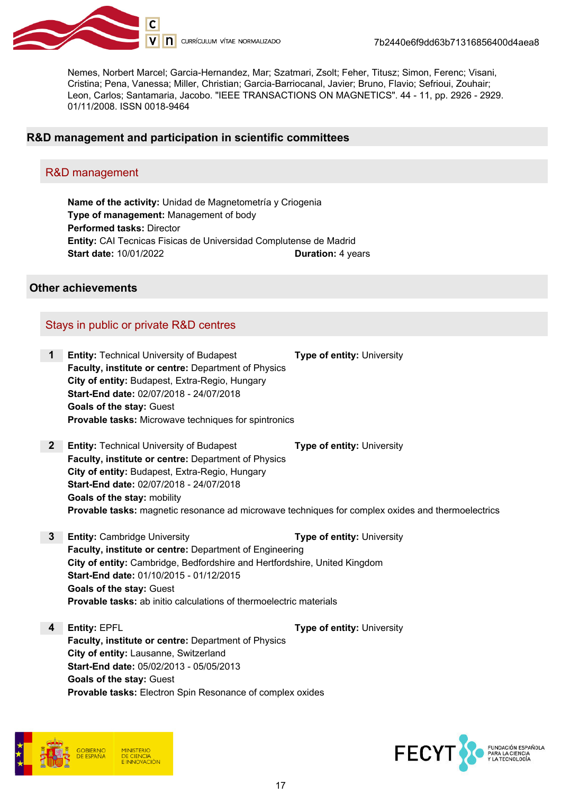

Nemes, Norbert Marcel; Garcia-Hernandez, Mar; Szatmari, Zsolt; Feher, Titusz; Simon, Ferenc; Visani, Cristina; Pena, Vanessa; Miller, Christian; Garcia-Barriocanal, Javier; Bruno, Flavio; Sefrioui, Zouhair; Leon, Carlos; Santamaria, Jacobo. "IEEE TRANSACTIONS ON MAGNETICS". 44 - 11, pp. 2926 - 2929. 01/11/2008. ISSN 0018-9464

#### R&D management and participation in scientific committees

#### R&D management

Name of the activity: Unidad de Magnetometría y Criogenia Type of management: Management of body Performed tasks: Director Entity: CAI Tecnicas Fisicas de Universidad Complutense de Madrid Start date: 10/01/2022 Duration: 4 years

#### Other achievements

### Stays in public or private R&D centres

| 1 | <b>Entity: Technical University of Budapest</b>             | <b>Type of entity: University</b> |
|---|-------------------------------------------------------------|-----------------------------------|
|   | <b>Faculty, institute or centre: Department of Physics</b>  |                                   |
|   | City of entity: Budapest, Extra-Regio, Hungary              |                                   |
|   | Start-End date: 02/07/2018 - 24/07/2018                     |                                   |
|   | <b>Goals of the stay: Guest</b>                             |                                   |
|   | <b>Provable tasks:</b> Microwave techniques for spintronics |                                   |

2 Entity: Technical University of Budapest Type of entity: University Faculty, institute or centre: Department of Physics City of entity: Budapest, Extra-Regio, Hungary Start-End date: 02/07/2018 - 24/07/2018 Goals of the stay: mobility Provable tasks: magnetic resonance ad microwave techniques for complex oxides and thermoelectrics

**3** Entity: Cambridge University **Type of entity: University** Faculty, institute or centre: Department of Engineering City of entity: Cambridge, Bedfordshire and Hertfordshire, United Kingdom Start-End date: 01/10/2015 - 01/12/2015 Goals of the stay: Guest Provable tasks: ab initio calculations of thermoelectric materials

4 Entity: EPFL **Type of entity: University** Faculty, institute or centre: Department of Physics City of entity: Lausanne, Switzerland Start-End date: 05/02/2013 - 05/05/2013 Goals of the stay: Guest Provable tasks: Electron Spin Resonance of complex oxides



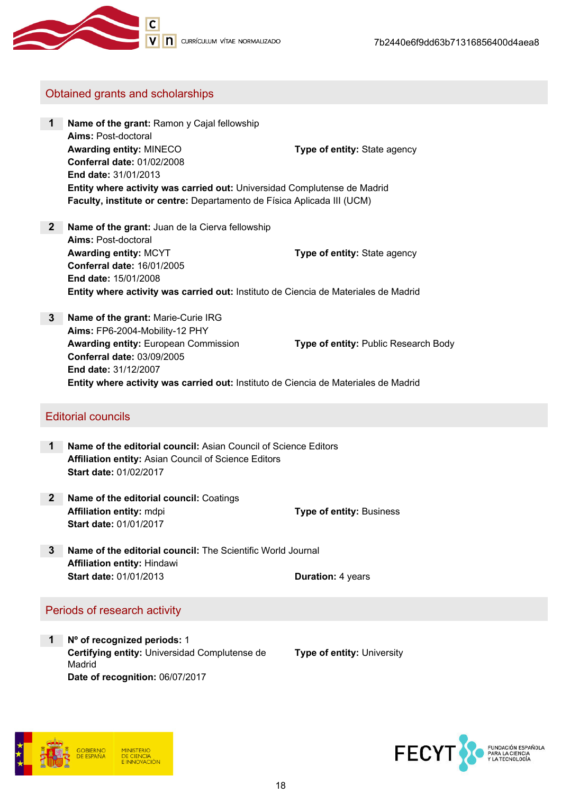

### Obtained grants and scholarships

- 1 Name of the grant: Ramon y Cajal fellowship Aims: Post-doctoral Awarding entity: MINECO Type of entity: State agency Conferral date: 01/02/2008 End date: 31/01/2013 Entity where activity was carried out: Universidad Complutense de Madrid Faculty, institute or centre: Departamento de Física Aplicada III (UCM)
- 2 Name of the grant: Juan de la Cierva fellowship Aims: Post-doctoral Awarding entity: MCYT Type of entity: State agency Conferral date: 16/01/2005 End date: 15/01/2008 Entity where activity was carried out: Instituto de Ciencia de Materiales de Madrid
- 3 Name of the grant: Marie-Curie IRG Aims: FP6-2004-Mobility-12 PHY Awarding entity: European Commission **Type of entity: Public Research Body** Conferral date: 03/09/2005 End date: 31/12/2007 Entity where activity was carried out: Instituto de Ciencia de Materiales de Madrid

#### Editorial councils

- 1 Name of the editorial council: Asian Council of Science Editors Affiliation entity: Asian Council of Science Editors Start date: 01/02/2017
- 2 Name of the editorial council: Coatings Affiliation entity: mdpi **Affiliation** entity: Business Start date: 01/01/2017
- 3 Name of the editorial council: The Scientific World Journal Affiliation entity: Hindawi Start date: 01/01/2013 **Duration: 4 years**

### Periods of research activity

1 Nº of recognized periods: 1 Certifying entity: Universidad Complutense de Madrid Date of recognition: 06/07/2017

Type of entity: University